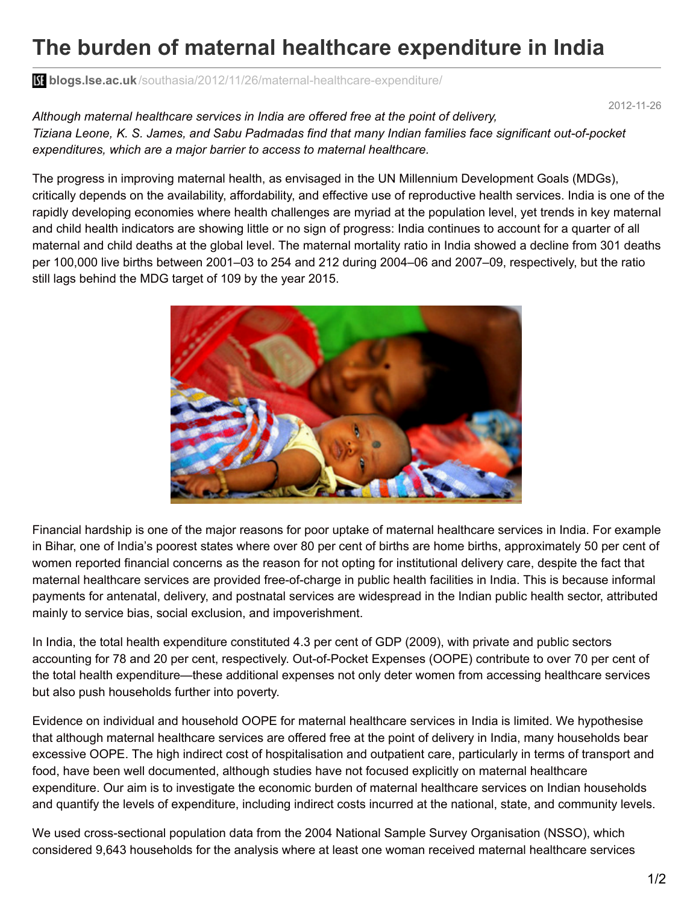## **The burden of maternal healthcare expenditure in India**

**bliogs.lse.ac.uk**[/southasia/2012/11/26/maternal-healthcare-expenditure/](http://blogs.lse.ac.uk/southasia/2012/11/26/maternal-healthcare-expenditure/)

2012-11-26

*Although maternal healthcare services in India are offered free at the point of delivery, Tiziana Leone, K. S. James, and Sabu Padmadas find that many Indian families face significant out-of-pocket expenditures, which are a major barrier to access to maternal healthcare.*

The progress in improving maternal health, as envisaged in the UN Millennium Development Goals (MDGs), critically depends on the availability, affordability, and effective use of reproductive health services. India is one of the rapidly developing economies where health challenges are myriad at the population level, yet trends in key maternal and child health indicators are showing little or no sign of progress: India continues to account for a quarter of all maternal and child deaths at the global level. The maternal mortality ratio in India showed a decline from 301 deaths per 100,000 live births between 2001–03 to 254 and 212 during 2004–06 and 2007–09, respectively, but the ratio still lags behind the MDG target of 109 by the year 2015.



Financial hardship is one of the major reasons for poor uptake of maternal healthcare services in India. For example in Bihar, one of India's poorest states where over 80 per cent of births are home births, approximately 50 per cent of women reported financial concerns as the reason for not opting for institutional delivery care, despite the fact that maternal healthcare services are provided free-of-charge in public health facilities in India. This is because informal payments for antenatal, delivery, and postnatal services are widespread in the Indian public health sector, attributed mainly to service bias, social exclusion, and impoverishment.

In India, the total health expenditure constituted 4.3 per cent of GDP (2009), with private and public sectors accounting for 78 and 20 per cent, respectively. Out-of-Pocket Expenses (OOPE) contribute to over 70 per cent of the total health expenditure—these additional expenses not only deter women from accessing healthcare services but also push households further into poverty.

Evidence on individual and household OOPE for maternal healthcare services in India is limited. We hypothesise that although maternal healthcare services are offered free at the point of delivery in India, many households bear excessive OOPE. The high indirect cost of hospitalisation and outpatient care, particularly in terms of transport and food, have been well documented, although studies have not focused explicitly on maternal healthcare expenditure. Our aim is to investigate the economic burden of maternal healthcare services on Indian households and quantify the levels of expenditure, including indirect costs incurred at the national, state, and community levels.

We used cross-sectional population data from the 2004 National Sample Survey Organisation (NSSO), which considered 9,643 households for the analysis where at least one woman received maternal healthcare services